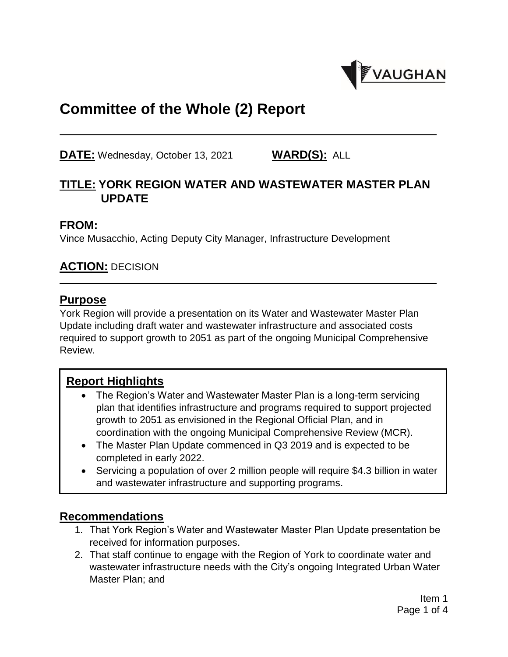

# **Committee of the Whole (2) Report**

**DATE:** Wednesday, October 13, 2021 **WARD(S):** ALL

## **TITLE: YORK REGION WATER AND WASTEWATER MASTER PLAN UPDATE**

#### **FROM:**

Vince Musacchio, Acting Deputy City Manager, Infrastructure Development

### **ACTION:** DECISION

#### **Purpose**

York Region will provide a presentation on its Water and Wastewater Master Plan Update including draft water and wastewater infrastructure and associated costs required to support growth to 2051 as part of the ongoing Municipal Comprehensive Review.

#### **Report Highlights**

- The Region's Water and Wastewater Master Plan is a long-term servicing plan that identifies infrastructure and programs required to support projected growth to 2051 as envisioned in the Regional Official Plan, and in coordination with the ongoing Municipal Comprehensive Review (MCR).
- The Master Plan Update commenced in Q3 2019 and is expected to be completed in early 2022.
- Servicing a population of over 2 million people will require \$4.3 billion in water and wastewater infrastructure and supporting programs.

#### **Recommendations**

- 1. That York Region's Water and Wastewater Master Plan Update presentation be received for information purposes.
- 2. That staff continue to engage with the Region of York to coordinate water and wastewater infrastructure needs with the City's ongoing Integrated Urban Water Master Plan; and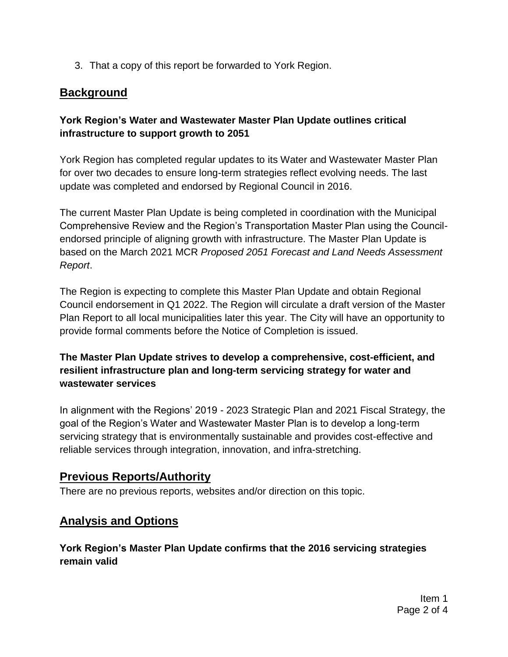3. That a copy of this report be forwarded to York Region.

## **Background**

### **York Region's Water and Wastewater Master Plan Update outlines critical infrastructure to support growth to 2051**

York Region has completed regular updates to its Water and Wastewater Master Plan for over two decades to ensure long-term strategies reflect evolving needs. The last update was completed and endorsed by Regional Council in 2016.

The current Master Plan Update is being completed in coordination with the Municipal Comprehensive Review and the Region's Transportation Master Plan using the Councilendorsed principle of aligning growth with infrastructure. The Master Plan Update is based on the March 2021 MCR *Proposed 2051 Forecast and Land Needs Assessment Report*.

The Region is expecting to complete this Master Plan Update and obtain Regional Council endorsement in Q1 2022. The Region will circulate a draft version of the Master Plan Report to all local municipalities later this year. The City will have an opportunity to provide formal comments before the Notice of Completion is issued.

### **The Master Plan Update strives to develop a comprehensive, cost-efficient, and resilient infrastructure plan and long-term servicing strategy for water and wastewater services**

In alignment with the Regions' 2019 - 2023 Strategic Plan and 2021 Fiscal Strategy, the goal of the Region's Water and Wastewater Master Plan is to develop a long-term servicing strategy that is environmentally sustainable and provides cost-effective and reliable services through integration, innovation, and infra-stretching.

### **Previous Reports/Authority**

There are no previous reports, websites and/or direction on this topic.

# **Analysis and Options**

### **York Region's Master Plan Update confirms that the 2016 servicing strategies remain valid**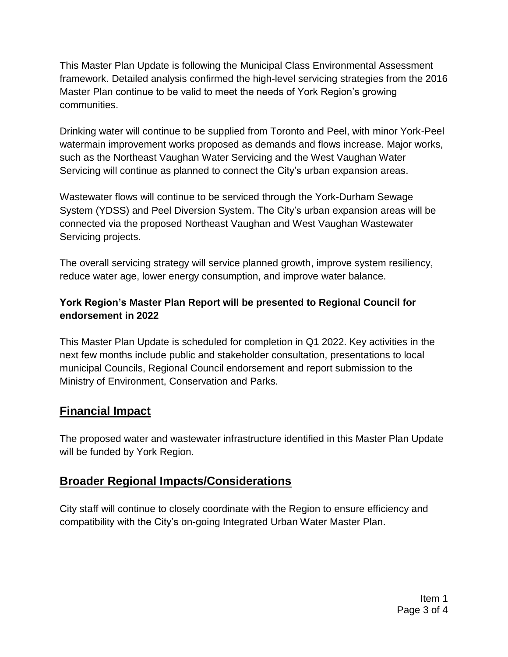This Master Plan Update is following the Municipal Class Environmental Assessment framework. Detailed analysis confirmed the high-level servicing strategies from the 2016 Master Plan continue to be valid to meet the needs of York Region's growing communities.

Drinking water will continue to be supplied from Toronto and Peel, with minor York-Peel watermain improvement works proposed as demands and flows increase. Major works, such as the Northeast Vaughan Water Servicing and the West Vaughan Water Servicing will continue as planned to connect the City's urban expansion areas.

Wastewater flows will continue to be serviced through the York-Durham Sewage System (YDSS) and Peel Diversion System. The City's urban expansion areas will be connected via the proposed Northeast Vaughan and West Vaughan Wastewater Servicing projects.

The overall servicing strategy will service planned growth, improve system resiliency, reduce water age, lower energy consumption, and improve water balance.

### **York Region's Master Plan Report will be presented to Regional Council for endorsement in 2022**

This Master Plan Update is scheduled for completion in Q1 2022. Key activities in the next few months include public and stakeholder consultation, presentations to local municipal Councils, Regional Council endorsement and report submission to the Ministry of Environment, Conservation and Parks.

# **Financial Impact**

The proposed water and wastewater infrastructure identified in this Master Plan Update will be funded by York Region.

# **Broader Regional Impacts/Considerations**

City staff will continue to closely coordinate with the Region to ensure efficiency and compatibility with the City's on-going Integrated Urban Water Master Plan.